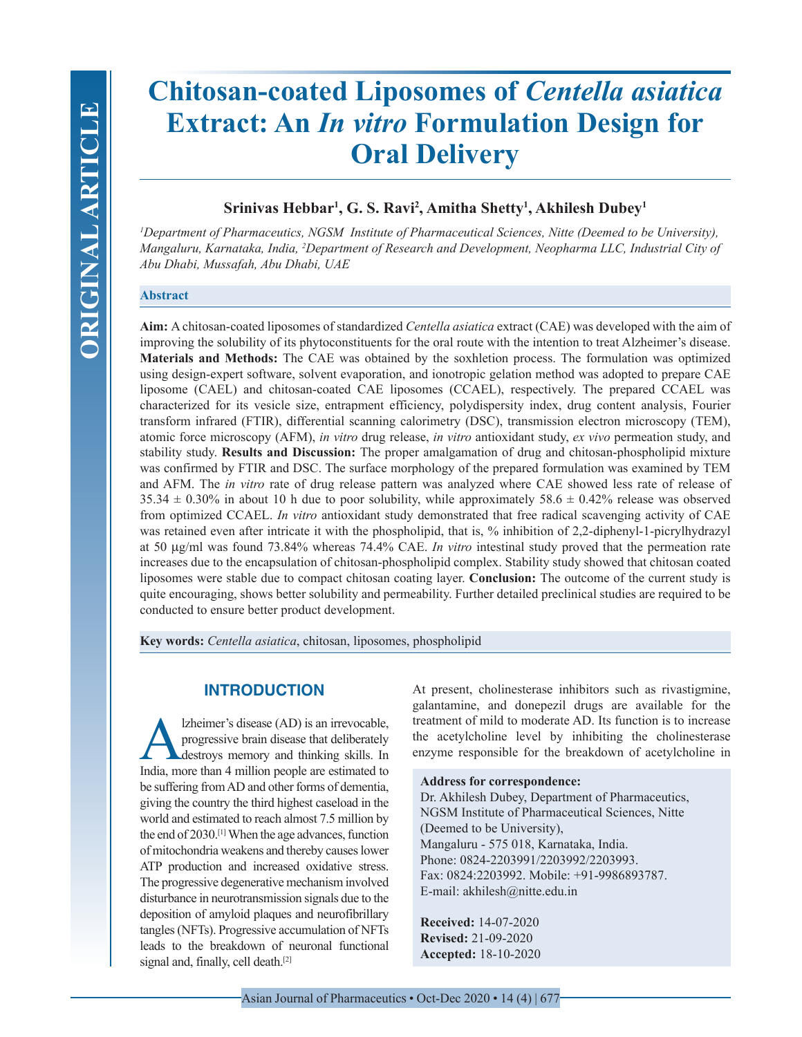# **Chitosan-coated Liposomes of** *Centella asiatica* **Extract: An** *In vitro* **Formulation Design for Oral Delivery**

# **Srinivas Hebbar1 , G. S. Ravi2 , Amitha Shetty1 , Akhilesh Dubey1**

*1 Department of Pharmaceutics, NGSM Institute of Pharmaceutical Sciences, Nitte (Deemed to be University), Mangaluru, Karnataka, India, 2 Department of Research and Development, Neopharma LLC, Industrial City of Abu Dhabi, Mussafah, Abu Dhabi, UAE*

# **Abstract**

**Aim:** A chitosan-coated liposomes of standardized *Centella asiatica* extract (CAE) was developed with the aim of improving the solubility of its phytoconstituents for the oral route with the intention to treat Alzheimer's disease. **Materials and Methods:** The CAE was obtained by the soxhletion process. The formulation was optimized using design-expert software, solvent evaporation, and ionotropic gelation method was adopted to prepare CAE liposome (CAEL) and chitosan-coated CAE liposomes (CCAEL), respectively. The prepared CCAEL was characterized for its vesicle size, entrapment efficiency, polydispersity index, drug content analysis, Fourier transform infrared (FTIR), differential scanning calorimetry (DSC), transmission electron microscopy (TEM), atomic force microscopy (AFM), *in vitro* drug release, *in vitro* antioxidant study, *ex vivo* permeation study, and stability study. **Results and Discussion:** The proper amalgamation of drug and chitosan-phospholipid mixture was confirmed by FTIR and DSC. The surface morphology of the prepared formulation was examined by TEM and AFM. The *in vitro* rate of drug release pattern was analyzed where CAE showed less rate of release of  $35.34 \pm 0.30\%$  in about 10 h due to poor solubility, while approximately  $58.6 \pm 0.42\%$  release was observed from optimized CCAEL. *In vitro* antioxidant study demonstrated that free radical scavenging activity of CAE was retained even after intricate it with the phospholipid, that is, % inhibition of 2,2-diphenyl-1-picrylhydrazyl at 50 µg/ml was found 73.84% whereas 74.4% CAE. *In vitro* intestinal study proved that the permeation rate increases due to the encapsulation of chitosan-phospholipid complex. Stability study showed that chitosan coated liposomes were stable due to compact chitosan coating layer. **Conclusion:** The outcome of the current study is quite encouraging, shows better solubility and permeability. Further detailed preclinical studies are required to be conducted to ensure better product development.

**Key words:** *Centella asiatica*, chitosan, liposomes, phospholipid

# **INTRODUCTION**

Izheimer's disease (AD) is an irrevocable,<br>progressive brain disease that deliberately<br>destroys memory and thinking skills. In<br>India more than 4 million people are estimated to progressive brain disease that deliberately destroys memory and thinking skills. In India, more than 4 million people are estimated to be suffering from AD and other forms of dementia, giving the country the third highest caseload in the world and estimated to reach almost 7.5 million by the end of 2030.[1] When the age advances, function of mitochondria weakens and thereby causes lower ATP production and increased oxidative stress. The progressive degenerative mechanism involved disturbance in neurotransmission signals due to the deposition of amyloid plaques and neurofibrillary tangles (NFTs). Progressive accumulation of NFTs leads to the breakdown of neuronal functional signal and, finally, cell death.<sup>[2]</sup>

At present, cholinesterase inhibitors such as rivastigmine, galantamine, and donepezil drugs are available for the treatment of mild to moderate AD. Its function is to increase the acetylcholine level by inhibiting the cholinesterase enzyme responsible for the breakdown of acetylcholine in

## **Address for correspondence:**

Dr. Akhilesh Dubey, Department of Pharmaceutics, NGSM Institute of Pharmaceutical Sciences, Nitte (Deemed to be University), Mangaluru - 575 018, Karnataka, India. Phone: 0824-2203991/2203992/2203993. Fax: 0824:2203992. Mobile: +91-9986893787. E-mail: akhilesh@nitte.edu.in

**Received:** 14-07-2020 **Revised:** 21-09-2020 **Accepted:** 18-10-2020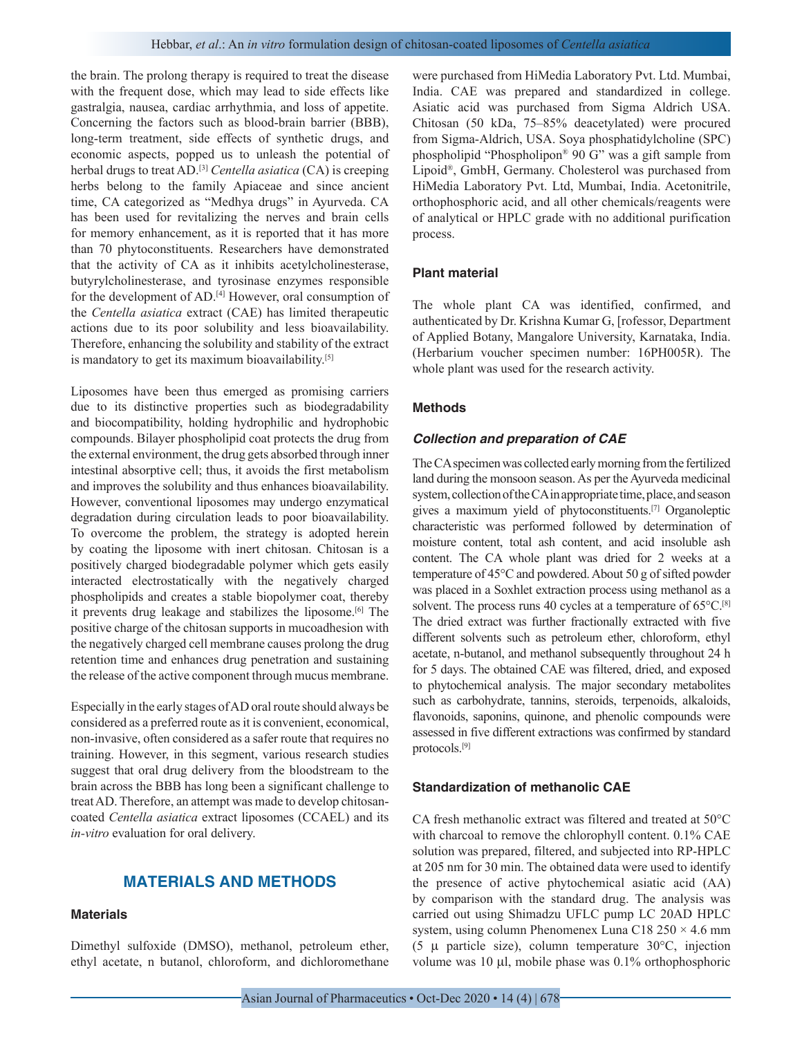the brain. The prolong therapy is required to treat the disease with the frequent dose, which may lead to side effects like gastralgia, nausea, cardiac arrhythmia, and loss of appetite. Concerning the factors such as blood-brain barrier (BBB), long-term treatment, side effects of synthetic drugs, and economic aspects, popped us to unleash the potential of herbal drugs to treat AD.[3] *Centella asiatica* (CA) is creeping herbs belong to the family Apiaceae and since ancient time, CA categorized as "Medhya drugs" in Ayurveda. CA has been used for revitalizing the nerves and brain cells for memory enhancement, as it is reported that it has more than 70 phytoconstituents. Researchers have demonstrated that the activity of CA as it inhibits acetylcholinesterase, butyrylcholinesterase, and tyrosinase enzymes responsible for the development of AD.<sup>[4]</sup> However, oral consumption of the *Centella asiatica* extract (CAE) has limited therapeutic actions due to its poor solubility and less bioavailability. Therefore, enhancing the solubility and stability of the extract is mandatory to get its maximum bioavailability.<sup>[5]</sup>

Liposomes have been thus emerged as promising carriers due to its distinctive properties such as biodegradability and biocompatibility, holding hydrophilic and hydrophobic compounds. Bilayer phospholipid coat protects the drug from the external environment, the drug gets absorbed through inner intestinal absorptive cell; thus, it avoids the first metabolism and improves the solubility and thus enhances bioavailability. However, conventional liposomes may undergo enzymatical degradation during circulation leads to poor bioavailability. To overcome the problem, the strategy is adopted herein by coating the liposome with inert chitosan. Chitosan is a positively charged biodegradable polymer which gets easily interacted electrostatically with the negatively charged phospholipids and creates a stable biopolymer coat, thereby it prevents drug leakage and stabilizes the liposome.<sup>[6]</sup> The positive charge of the chitosan supports in mucoadhesion with the negatively charged cell membrane causes prolong the drug retention time and enhances drug penetration and sustaining the release of the active component through mucus membrane.

Especially in the early stages of AD oral route should always be considered as a preferred route as it is convenient, economical, non-invasive, often considered as a safer route that requires no training. However, in this segment, various research studies suggest that oral drug delivery from the bloodstream to the brain across the BBB has long been a significant challenge to treat AD. Therefore, an attempt was made to develop chitosancoated *Centella asiatica* extract liposomes (CCAEL) and its *in-vitro* evaluation for oral delivery.

# **MATERIALS AND METHODS**

# **Materials**

Dimethyl sulfoxide (DMSO), methanol, petroleum ether, ethyl acetate, n butanol, chloroform, and dichloromethane were purchased from HiMedia Laboratory Pvt. Ltd. Mumbai, India. CAE was prepared and standardized in college. Asiatic acid was purchased from Sigma Aldrich USA. Chitosan (50 kDa, 75–85% deacetylated) were procured from Sigma-Aldrich, USA. Soya phosphatidylcholine (SPC) phospholipid "Phospholipon® 90 G" was a gift sample from Lipoid®, GmbH, Germany. Cholesterol was purchased from HiMedia Laboratory Pvt. Ltd, Mumbai, India. Acetonitrile, orthophosphoric acid, and all other chemicals/reagents were of analytical or HPLC grade with no additional purification process.

## **Plant material**

The whole plant CA was identified, confirmed, and authenticated by Dr. Krishna Kumar G, [rofessor, Department of Applied Botany, Mangalore University, Karnataka, India. (Herbarium voucher specimen number: 16PH005R). The whole plant was used for the research activity.

### **Methods**

## *Collection and preparation of CAE*

The CA specimen was collected early morning from the fertilized land during the monsoon season. As per the Ayurveda medicinal system, collection of the CA in appropriate time, place, and season gives a maximum yield of phytoconstituents.[7] Organoleptic characteristic was performed followed by determination of moisture content, total ash content, and acid insoluble ash content. The CA whole plant was dried for 2 weeks at a temperature of 45°C and powdered. About 50 g of sifted powder was placed in a Soxhlet extraction process using methanol as a solvent. The process runs 40 cycles at a temperature of 65°C.<sup>[8]</sup> The dried extract was further fractionally extracted with five different solvents such as petroleum ether, chloroform, ethyl acetate, n-butanol, and methanol subsequently throughout 24 h for 5 days. The obtained CAE was filtered, dried, and exposed to phytochemical analysis. The major secondary metabolites such as carbohydrate, tannins, steroids, terpenoids, alkaloids, flavonoids, saponins, quinone, and phenolic compounds were assessed in five different extractions was confirmed by standard protocols.[9]

## **Standardization of methanolic CAE**

CA fresh methanolic extract was filtered and treated at 50°C with charcoal to remove the chlorophyll content. 0.1% CAE solution was prepared, filtered, and subjected into RP-HPLC at 205 nm for 30 min. The obtained data were used to identify the presence of active phytochemical asiatic acid (AA) by comparison with the standard drug. The analysis was carried out using Shimadzu UFLC pump LC 20AD HPLC system, using column Phenomenex Luna C18  $250 \times 4.6$  mm (5 μ particle size), column temperature 30°C, injection volume was 10 µl, mobile phase was 0.1% orthophosphoric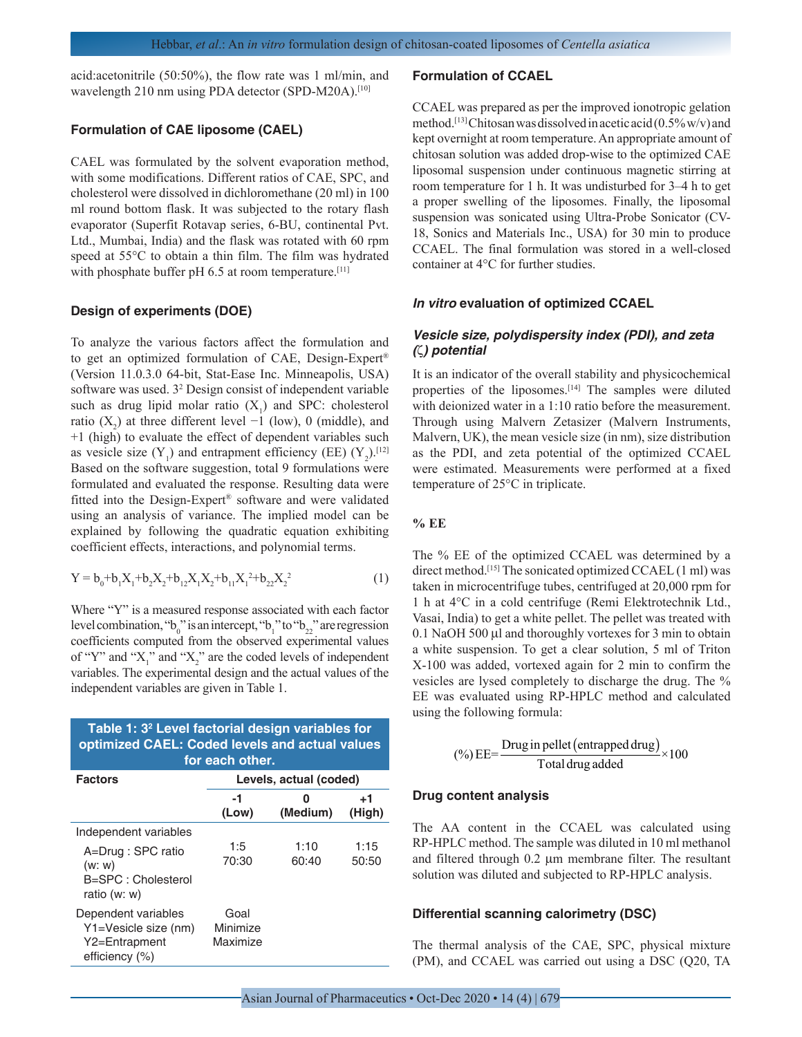acid:acetonitrile (50:50%), the flow rate was 1 ml/min, and wavelength 210 nm using PDA detector (SPD-M20A).[10]

## **Formulation of CAE liposome (CAEL)**

CAEL was formulated by the solvent evaporation method, with some modifications. Different ratios of CAE, SPC, and cholesterol were dissolved in dichloromethane (20 ml) in 100 ml round bottom flask. It was subjected to the rotary flash evaporator (Superfit Rotavap series, 6-BU, continental Pvt. Ltd., Mumbai, India) and the flask was rotated with 60 rpm speed at 55°C to obtain a thin film. The film was hydrated with phosphate buffer pH 6.5 at room temperature.[11]

## **Design of experiments (DOE)**

To analyze the various factors affect the formulation and to get an optimized formulation of CAE, Design-Expert® (Version 11.0.3.0 64-bit, Stat-Ease Inc. Minneapolis, USA) software was used. 3<sup>2</sup> Design consist of independent variable such as drug lipid molar ratio  $(X_1)$  and SPC: cholesterol ratio  $(X_2)$  at three different level  $-1$  (low), 0 (middle), and +1 (high) to evaluate the effect of dependent variables such as vesicle size  $(Y_1)$  and entrapment efficiency (EE)  $(Y_2)$ .<sup>[12]</sup> Based on the software suggestion, total 9 formulations were formulated and evaluated the response. Resulting data were fitted into the Design-Expert® software and were validated using an analysis of variance. The implied model can be explained by following the quadratic equation exhibiting coefficient effects, interactions, and polynomial terms.

$$
Y = b_0 + b_1 X_1 + b_2 X_2 + b_{12} X_1 X_2 + b_{11} X_1^2 + b_{22} X_2^2
$$
 (1)

Where "Y" is a measured response associated with each factor level combination, " $b_0$ " is an intercept, " $b_1$ " to " $b_{22}$ " are regression coefficients computed from the observed experimental values of "Y" and " $X_1$ " and " $X_2$ " are the coded levels of independent variables. The experimental design and the actual values of the independent variables are given in Table 1.

| Table 1: 3 <sup>2</sup> Level factorial design variables for<br>optimized CAEL: Coded levels and actual values<br>for each other. |                              |               |               |  |  |  |  |
|-----------------------------------------------------------------------------------------------------------------------------------|------------------------------|---------------|---------------|--|--|--|--|
| <b>Factors</b>                                                                                                                    | Levels, actual (coded)       |               |               |  |  |  |  |
|                                                                                                                                   | -1<br>(Low)                  | 0<br>(Medium) | +1<br>(High)  |  |  |  |  |
| Independent variables<br>A=Drug: SPC ratio<br>(w: w)<br>B=SPC: Cholesterol<br>ratio (w: w)                                        | 1:5<br>70:30                 | 1:10<br>60:40 | 1:15<br>50:50 |  |  |  |  |
| Dependent variables<br>Y1=Vesicle size (nm)<br>Y2=Entrapment<br>efficiency (%)                                                    | Goal<br>Minimize<br>Maximize |               |               |  |  |  |  |

#### **Formulation of CCAEL**

CCAEL was prepared as per the improved ionotropic gelation method.[13] Chitosan was dissolved in acetic acid (0.5% w/v) and kept overnight at room temperature. An appropriate amount of chitosan solution was added drop-wise to the optimized CAE liposomal suspension under continuous magnetic stirring at room temperature for 1 h. It was undisturbed for 3–4 h to get a proper swelling of the liposomes. Finally, the liposomal suspension was sonicated using Ultra-Probe Sonicator (CV-18, Sonics and Materials Inc., USA) for 30 min to produce CCAEL. The final formulation was stored in a well-closed container at 4°C for further studies.

## *In vitro* **evaluation of optimized CCAEL**

# *Vesicle size, polydispersity index (PDI), and zeta (*ζ*) potential*

It is an indicator of the overall stability and physicochemical properties of the liposomes.<sup>[14]</sup> The samples were diluted with deionized water in a 1:10 ratio before the measurement. Through using Malvern Zetasizer (Malvern Instruments, Malvern, UK), the mean vesicle size (in nm), size distribution as the PDI, and zeta potential of the optimized CCAEL were estimated. Measurements were performed at a fixed temperature of 25°C in triplicate.

## **% EE**

The % EE of the optimized CCAEL was determined by a direct method.[15] The sonicated optimized CCAEL (1 ml) was taken in microcentrifuge tubes, centrifuged at 20,000 rpm for 1 h at 4°C in a cold centrifuge (Remi Elektrotechnik Ltd., Vasai, India) to get a white pellet. The pellet was treated with 0.1 NaOH 500 µl and thoroughly vortexes for 3 min to obtain a white suspension. To get a clear solution, 5 ml of Triton X-100 was added, vortexed again for 2 min to confirm the vesicles are lysed completely to discharge the drug. The % EE was evaluated using RP-HPLC method and calculated using the following formula:

$$
(\%) EE = \frac{Drug in pellet (entrapped drug)}{\text{Total drug added}} \times 100
$$

#### **Drug content analysis**

The AA content in the CCAEL was calculated using RP-HPLC method. The sample was diluted in 10 ml methanol and filtered through 0.2 µm membrane filter. The resultant solution was diluted and subjected to RP-HPLC analysis.

## **Differential scanning calorimetry (DSC)**

The thermal analysis of the CAE, SPC, physical mixture (PM), and CCAEL was carried out using a DSC (Q20, TA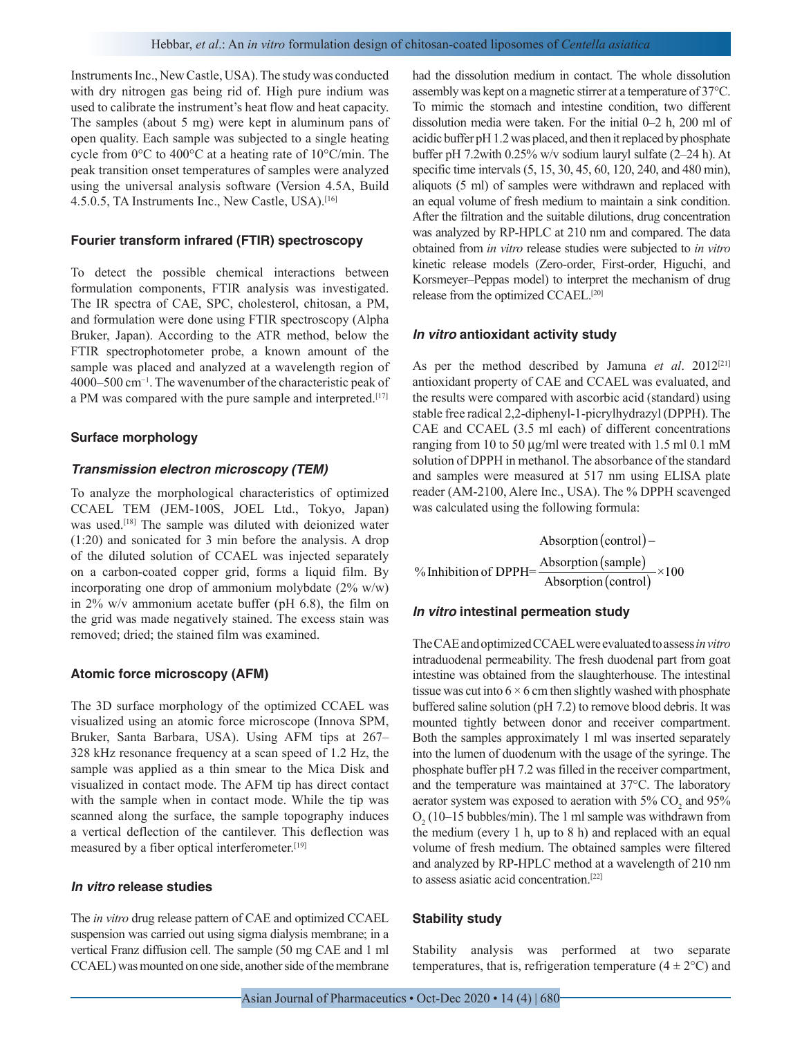Instruments Inc., New Castle, USA). The study was conducted with dry nitrogen gas being rid of. High pure indium was used to calibrate the instrument's heat flow and heat capacity. The samples (about 5 mg) were kept in aluminum pans of open quality. Each sample was subjected to a single heating cycle from 0°C to 400°C at a heating rate of 10°C/min. The peak transition onset temperatures of samples were analyzed using the universal analysis software (Version 4.5A, Build 4.5.0.5, TA Instruments Inc., New Castle, USA).<sup>[16]</sup>

## **Fourier transform infrared (FTIR) spectroscopy**

To detect the possible chemical interactions between formulation components, FTIR analysis was investigated. The IR spectra of CAE, SPC, cholesterol, chitosan, a PM, and formulation were done using FTIR spectroscopy (Alpha Bruker, Japan). According to the ATR method, below the FTIR spectrophotometer probe, a known amount of the sample was placed and analyzed at a wavelength region of 4000–500 cm−1. The wavenumber of the characteristic peak of a PM was compared with the pure sample and interpreted.<sup>[17]</sup>

## **Surface morphology**

## *Transmission electron microscopy (TEM)*

To analyze the morphological characteristics of optimized CCAEL TEM (JEM-100S, JOEL Ltd., Tokyo, Japan) was used.<sup>[18]</sup> The sample was diluted with deionized water (1:20) and sonicated for 3 min before the analysis. A drop of the diluted solution of CCAEL was injected separately on a carbon-coated copper grid, forms a liquid film. By incorporating one drop of ammonium molybdate (2% w/w) in 2% w/v ammonium acetate buffer (pH 6.8), the film on the grid was made negatively stained. The excess stain was removed; dried; the stained film was examined.

## **Atomic force microscopy (AFM)**

The 3D surface morphology of the optimized CCAEL was visualized using an atomic force microscope (Innova SPM, Bruker, Santa Barbara, USA). Using AFM tips at 267– 328 kHz resonance frequency at a scan speed of 1.2 Hz, the sample was applied as a thin smear to the Mica Disk and visualized in contact mode. The AFM tip has direct contact with the sample when in contact mode. While the tip was scanned along the surface, the sample topography induces a vertical deflection of the cantilever. This deflection was measured by a fiber optical interferometer.<sup>[19]</sup>

## *In vitro* **release studies**

The *in vitro* drug release pattern of CAE and optimized CCAEL suspension was carried out using sigma dialysis membrane; in a vertical Franz diffusion cell. The sample (50 mg CAE and 1 ml CCAEL) was mounted on one side, another side of the membrane had the dissolution medium in contact. The whole dissolution assembly was kept on a magnetic stirrer at a temperature of 37°C. To mimic the stomach and intestine condition, two different dissolution media were taken. For the initial 0–2 h, 200 ml of acidic buffer pH 1.2 was placed, and then it replaced by phosphate buffer pH 7.2with 0.25% w/v sodium lauryl sulfate (2–24 h). At specific time intervals (5, 15, 30, 45, 60, 120, 240, and 480 min), aliquots (5 ml) of samples were withdrawn and replaced with an equal volume of fresh medium to maintain a sink condition. After the filtration and the suitable dilutions, drug concentration was analyzed by RP-HPLC at 210 nm and compared. The data obtained from *in vitro* release studies were subjected to *in vitro* kinetic release models (Zero-order, First-order, Higuchi, and Korsmeyer–Peppas model) to interpret the mechanism of drug release from the optimized CCAEL.[20]

### *In vitro* **antioxidant activity study**

As per the method described by Jamuna *et al*. 2012[21] antioxidant property of CAE and CCAEL was evaluated, and the results were compared with ascorbic acid (standard) using stable free radical 2,2-diphenyl-1-picrylhydrazyl (DPPH). The CAE and CCAEL (3.5 ml each) of different concentrations ranging from 10 to 50 µg/ml were treated with 1.5 ml 0.1 mM solution of DPPH in methanol. The absorbance of the standard and samples were measured at 517 nm using ELISA plate reader (AM-2100, Alere Inc., USA). The % DPPH scavenged was calculated using the following formula:

% Inhibition of DPPH= $\frac{\text{Absorption (sample)}}{\text{Area}}$ Absorption (control) – Ab (sample)  $\frac{\text{expmin}(\text{sample})}{\text{sorption}(\text{control})} \times 100$ 

# *In vitro* **intestinal permeation study**

The CAE and optimized CCAEL were evaluated to assess *in vitro*  intraduodenal permeability. The fresh duodenal part from goat intestine was obtained from the slaughterhouse. The intestinal tissue was cut into  $6 \times 6$  cm then slightly washed with phosphate buffered saline solution (pH 7.2) to remove blood debris. It was mounted tightly between donor and receiver compartment. Both the samples approximately 1 ml was inserted separately into the lumen of duodenum with the usage of the syringe. The phosphate buffer pH 7.2 was filled in the receiver compartment, and the temperature was maintained at 37°C. The laboratory aerator system was exposed to aeration with  $5\%$  CO<sub>2</sub> and  $95\%$  $O_2(10-15$  bubbles/min). The 1 ml sample was withdrawn from the medium (every 1 h, up to 8 h) and replaced with an equal volume of fresh medium. The obtained samples were filtered and analyzed by RP-HPLC method at a wavelength of 210 nm to assess asiatic acid concentration.[22]

### **Stability study**

Stability analysis was performed at two separate temperatures, that is, refrigeration temperature  $(4 \pm 2^{\circ}C)$  and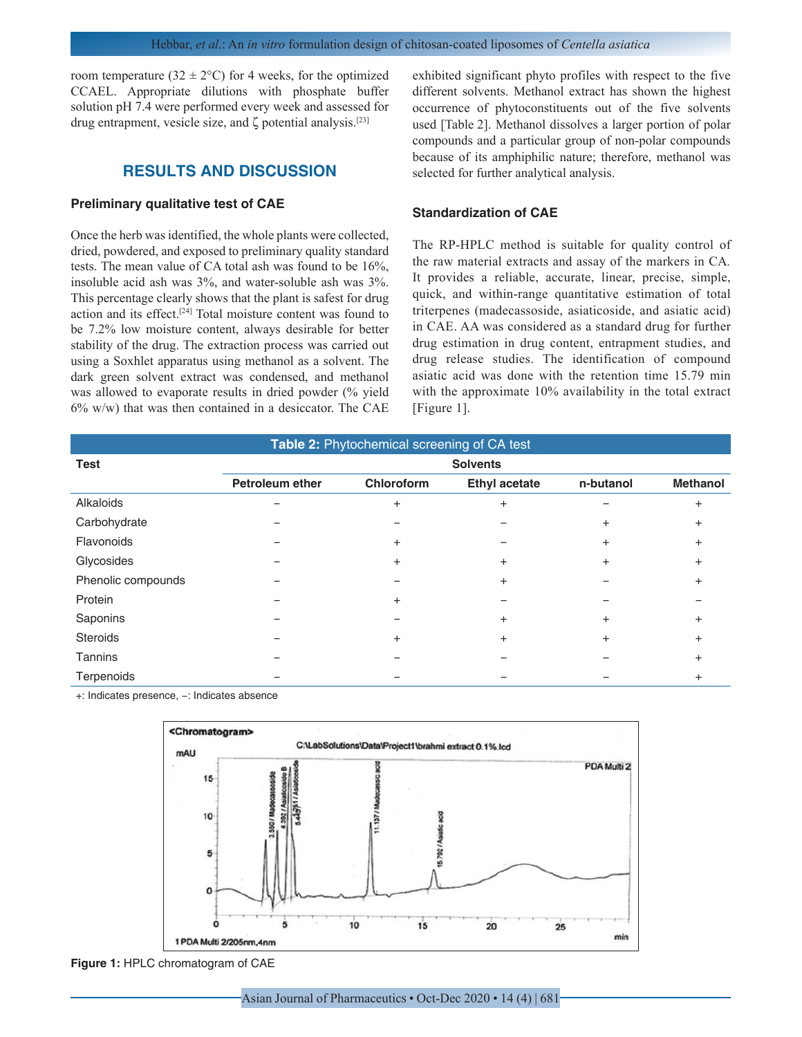room temperature (32  $\pm$  2°C) for 4 weeks, for the optimized CCAEL. Appropriate dilutions with phosphate buffer solution pH 7.4 were performed every week and assessed for drug entrapment, vesicle size, and ζ potential analysis.[23]

# **RESULTS AND DISCUSSION**

# **Preliminary qualitative test of CAE**

Once the herb was identified, the whole plants were collected, dried, powdered, and exposed to preliminary quality standard tests. The mean value of CA total ash was found to be 16%, insoluble acid ash was 3%, and water-soluble ash was 3%. This percentage clearly shows that the plant is safest for drug action and its effect.[24] Total moisture content was found to be 7.2% low moisture content, always desirable for better stability of the drug. The extraction process was carried out using a Soxhlet apparatus using methanol as a solvent. The dark green solvent extract was condensed, and methanol was allowed to evaporate results in dried powder (% yield  $6\%$  w/w) that was then contained in a desiccator. The CAE

exhibited significant phyto profiles with respect to the five different solvents. Methanol extract has shown the highest occurrence of phytoconstituents out of the five solvents used [Table 2]. Methanol dissolves a larger portion of polar compounds and a particular group of non-polar compounds because of its amphiphilic nature; therefore, methanol was selected for further analytical analysis.

## **Standardization of CAE**

The RP-HPLC method is suitable for quality control of the raw material extracts and assay of the markers in CA*.* It provides a reliable, accurate, linear, precise, simple, quick, and within-range quantitative estimation of total triterpenes (madecassoside, asiaticoside, and asiatic acid) in CAE. AA was considered as a standard drug for further drug estimation in drug content, entrapment studies, and drug release studies. The identification of compound asiatic acid was done with the retention time 15.79 min with the approximate 10% availability in the total extract [Figure 1].

| Table 2: Phytochemical screening of CA test |                 |                |                      |           |                 |  |  |  |
|---------------------------------------------|-----------------|----------------|----------------------|-----------|-----------------|--|--|--|
| <b>Test</b>                                 | <b>Solvents</b> |                |                      |           |                 |  |  |  |
|                                             | Petroleum ether | Chloroform     | <b>Ethyl acetate</b> | n-butanol | <b>Methanol</b> |  |  |  |
| Alkaloids                                   |                 | $\pm$          | $\ddot{}$            |           | +               |  |  |  |
| Carbohydrate                                |                 |                |                      | $\ddot{}$ | $\ddot{}$       |  |  |  |
| Flavonoids                                  |                 | $\overline{+}$ |                      | $\ddot{}$ | $\div$          |  |  |  |
| Glycosides                                  |                 | $\pm$          | $\pm$                | $\ddot{}$ | $\pm$           |  |  |  |
| Phenolic compounds                          |                 |                | $\pm$                |           | +               |  |  |  |
| Protein                                     |                 | $\overline{+}$ |                      |           |                 |  |  |  |
| Saponins                                    |                 |                | $\pm$                | $\ddot{}$ | $\pm$           |  |  |  |
| <b>Steroids</b>                             |                 | $\overline{+}$ | $\ddot{}$            | $\ddot{}$ | $\pm$           |  |  |  |
| <b>Tannins</b>                              |                 |                |                      |           | $\ddot{}$       |  |  |  |
| Terpenoids                                  |                 |                |                      |           |                 |  |  |  |

+: Indicates presence, −: Indicates absence



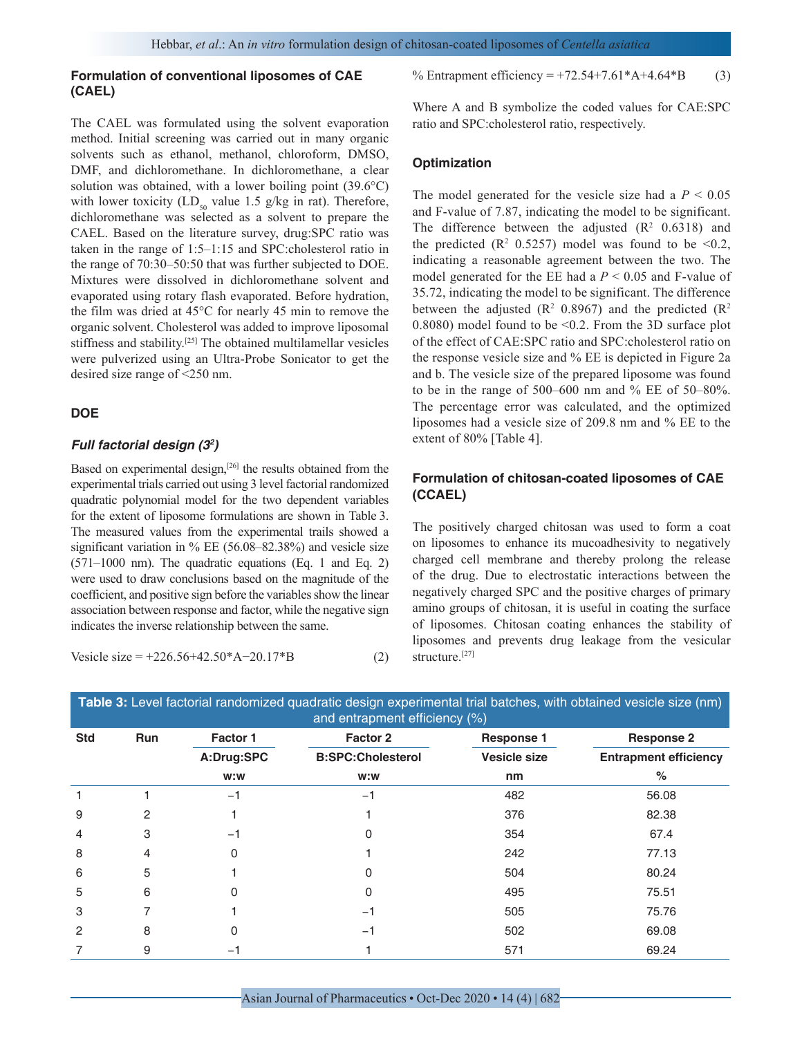# **Formulation of conventional liposomes of CAE (CAEL)**

The CAEL was formulated using the solvent evaporation method. Initial screening was carried out in many organic solvents such as ethanol, methanol, chloroform, DMSO, DMF, and dichloromethane. In dichloromethane, a clear solution was obtained, with a lower boiling point (39.6°C) with lower toxicity (LD<sub>50</sub> value 1.5 g/kg in rat). Therefore, dichloromethane was selected as a solvent to prepare the CAEL. Based on the literature survey, drug:SPC ratio was taken in the range of 1:5–1:15 and SPC:cholesterol ratio in the range of 70:30–50:50 that was further subjected to DOE. Mixtures were dissolved in dichloromethane solvent and evaporated using rotary flash evaporated. Before hydration, the film was dried at 45°C for nearly 45 min to remove the organic solvent. Cholesterol was added to improve liposomal stiffness and stability.[25] The obtained multilamellar vesicles were pulverized using an Ultra-Probe Sonicator to get the desired size range of <250 nm.

## **DOE**

## *Full factorial design (32 )*

Based on experimental design,<sup>[26]</sup> the results obtained from the experimental trials carried out using 3 level factorial randomized quadratic polynomial model for the two dependent variables for the extent of liposome formulations are shown in Table 3. The measured values from the experimental trails showed a significant variation in % EE (56.08–82.38%) and vesicle size (571–1000 nm). The quadratic equations (Eq. 1 and Eq. 2) were used to draw conclusions based on the magnitude of the coefficient, and positive sign before the variables show the linear association between response and factor, while the negative sign indicates the inverse relationship between the same.

Vesicle size = 
$$
+226.56+42.50*A-20.17*B
$$
 (2)

Where A and B symbolize the coded values for CAE:SPC ratio and SPC:cholesterol ratio, respectively.

## **Optimization**

The model generated for the vesicle size had a  $P < 0.05$ and F-value of 7.87, indicating the model to be significant. The difference between the adjusted  $(R^2 \t0.6318)$  and the predicted  $(R^2 \t0.5257)$  model was found to be <0.2, indicating a reasonable agreement between the two. The model generated for the EE had a *P* < 0.05 and F-value of 35.72, indicating the model to be significant. The difference between the adjusted ( $\mathbb{R}^2$  0.8967) and the predicted ( $\mathbb{R}^2$ 0.8080) model found to be <0.2. From the 3D surface plot of the effect of CAE:SPC ratio and SPC:cholesterol ratio on the response vesicle size and % EE is depicted in Figure 2a and b. The vesicle size of the prepared liposome was found to be in the range of 500–600 nm and % EE of 50–80%. The percentage error was calculated, and the optimized liposomes had a vesicle size of 209.8 nm and % EE to the extent of 80% [Table 4].

# **Formulation of chitosan-coated liposomes of CAE (CCAEL)**

The positively charged chitosan was used to form a coat on liposomes to enhance its mucoadhesivity to negatively charged cell membrane and thereby prolong the release of the drug. Due to electrostatic interactions between the negatively charged SPC and the positive charges of primary amino groups of chitosan, it is useful in coating the surface of liposomes. Chitosan coating enhances the stability of liposomes and prevents drug leakage from the vesicular structure.[27]

| and entrapment efficiency $(\%)$ |                |            |                          |                     |                              |  |  |
|----------------------------------|----------------|------------|--------------------------|---------------------|------------------------------|--|--|
| <b>Std</b><br>Run                |                | Factor 1   | Factor 2                 | <b>Response 1</b>   | <b>Response 2</b>            |  |  |
|                                  |                | A:Drug:SPC | <b>B:SPC:Cholesterol</b> | <b>Vesicle size</b> | <b>Entrapment efficiency</b> |  |  |
|                                  |                | w:w        | w:w                      | nm                  | %                            |  |  |
|                                  |                | $-1$       | $-1$                     | 482                 | 56.08                        |  |  |
| 9                                | 2              |            |                          | 376                 | 82.38                        |  |  |
| $\overline{4}$                   | 3              | $-1$       | 0                        | 354                 | 67.4                         |  |  |
| 8                                | $\overline{4}$ | 0          |                          | 242                 | 77.13                        |  |  |
| 6                                | 5              |            | 0                        | 504                 | 80.24                        |  |  |
| 5                                | 6              | 0          | 0                        | 495                 | 75.51                        |  |  |
| 3                                | 7              |            | $-1$                     | 505                 | 75.76                        |  |  |
| $\overline{2}$                   | 8              | 0          | $-1$                     | 502                 | 69.08                        |  |  |
| 7                                | 9              | -1         |                          | 571                 | 69.24                        |  |  |
|                                  |                |            |                          |                     |                              |  |  |

**Table 3:** Level factorial randomized quadratic design experimental trial batches, with obtained vesicle size (nm) and entrapment efficiency (%)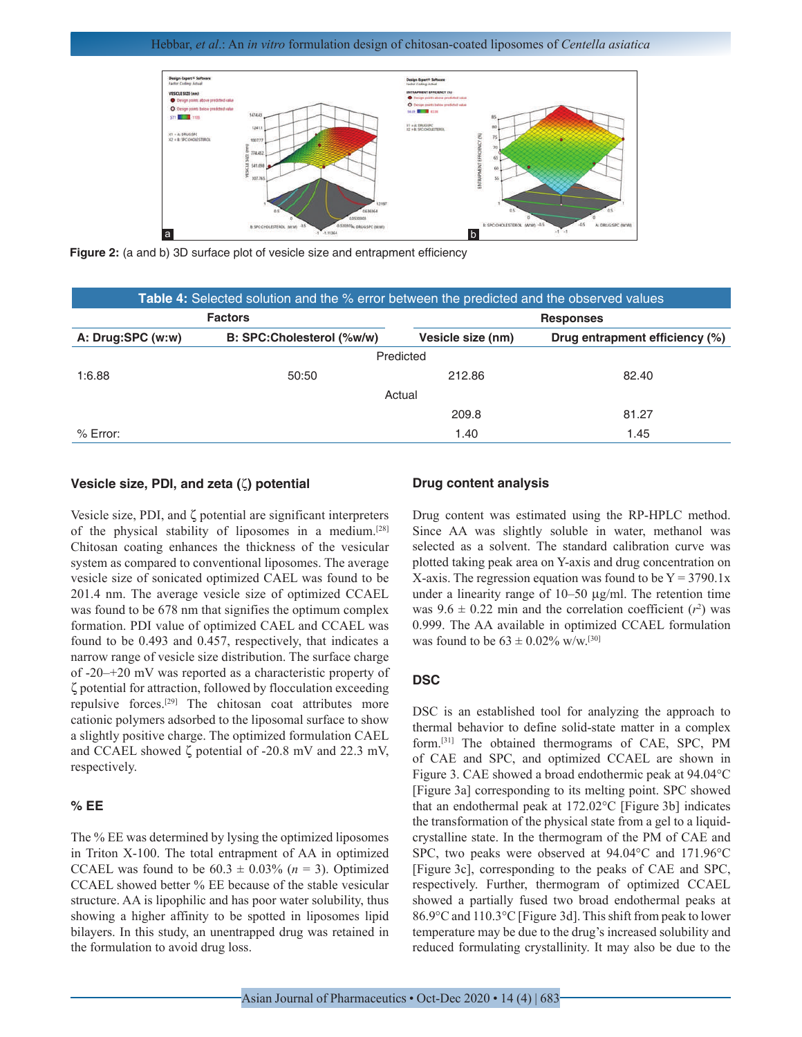## Hebbar, *et al*.: An *in vitro* formulation design of chitosan-coated liposomes of *Centella asiatica*



**Figure 2:** (a and b) 3D surface plot of vesicle size and entrapment efficiency

| <b>Table 4:</b> Selected solution and the % error between the predicted and the observed values |                           |                   |                                |  |  |  |  |  |  |
|-------------------------------------------------------------------------------------------------|---------------------------|-------------------|--------------------------------|--|--|--|--|--|--|
|                                                                                                 | <b>Factors</b>            | <b>Responses</b>  |                                |  |  |  |  |  |  |
| A: Drug:SPC (w:w)                                                                               | B: SPC:Cholesterol (%w/w) | Vesicle size (nm) | Drug entrapment efficiency (%) |  |  |  |  |  |  |
| Predicted                                                                                       |                           |                   |                                |  |  |  |  |  |  |
| 1:6.88                                                                                          | 50:50                     | 212.86            | 82.40                          |  |  |  |  |  |  |
| Actual                                                                                          |                           |                   |                                |  |  |  |  |  |  |
|                                                                                                 |                           | 209.8             | 81.27                          |  |  |  |  |  |  |
| $%$ Error:                                                                                      |                           | 1.40              | 1.45                           |  |  |  |  |  |  |

## **Vesicle size, PDI, and zeta (**ζ**) potential**

Vesicle size, PDI, and ζ potential are significant interpreters of the physical stability of liposomes in a medium.[28] Chitosan coating enhances the thickness of the vesicular system as compared to conventional liposomes. The average vesicle size of sonicated optimized CAEL was found to be 201.4 nm. The average vesicle size of optimized CCAEL was found to be 678 nm that signifies the optimum complex formation. PDI value of optimized CAEL and CCAEL was found to be 0.493 and 0.457, respectively, that indicates a narrow range of vesicle size distribution. The surface charge of -20–+20 mV was reported as a characteristic property of ζ potential for attraction, followed by flocculation exceeding repulsive forces.[29] The chitosan coat attributes more cationic polymers adsorbed to the liposomal surface to show a slightly positive charge. The optimized formulation CAEL and CCAEL showed ζ potential of -20.8 mV and 22.3 mV, respectively.

## **% EE**

The % EE was determined by lysing the optimized liposomes in Triton X-100. The total entrapment of AA in optimized CCAEL was found to be  $60.3 \pm 0.03\%$  ( $n = 3$ ). Optimized CCAEL showed better % EE because of the stable vesicular structure. AA is lipophilic and has poor water solubility, thus showing a higher affinity to be spotted in liposomes lipid bilayers. In this study, an unentrapped drug was retained in the formulation to avoid drug loss.

## **Drug content analysis**

Drug content was estimated using the RP-HPLC method. Since AA was slightly soluble in water, methanol was selected as a solvent. The standard calibration curve was plotted taking peak area on Y-axis and drug concentration on X-axis. The regression equation was found to be  $Y = 3790.1x$ under a linearity range of  $10-50 \mu g/ml$ . The retention time was  $9.6 \pm 0.22$  min and the correlation coefficient  $(r^2)$  was 0.999. The AA available in optimized CCAEL formulation was found to be  $63 \pm 0.02\%$  w/w.<sup>[30]</sup>

## **DSC**

DSC is an established tool for analyzing the approach to thermal behavior to define solid-state matter in a complex form.[31] The obtained thermograms of CAE, SPC, PM of CAE and SPC, and optimized CCAEL are shown in Figure 3. CAE showed a broad endothermic peak at 94.04°C [Figure 3a] corresponding to its melting point. SPC showed that an endothermal peak at 172.02°C [Figure 3b] indicates the transformation of the physical state from a gel to a liquidcrystalline state. In the thermogram of the PM of CAE and SPC, two peaks were observed at 94.04°C and 171.96°C [Figure 3c], corresponding to the peaks of CAE and SPC, respectively. Further, thermogram of optimized CCAEL showed a partially fused two broad endothermal peaks at 86.9°C and 110.3°C [Figure 3d]. This shift from peak to lower temperature may be due to the drug's increased solubility and reduced formulating crystallinity. It may also be due to the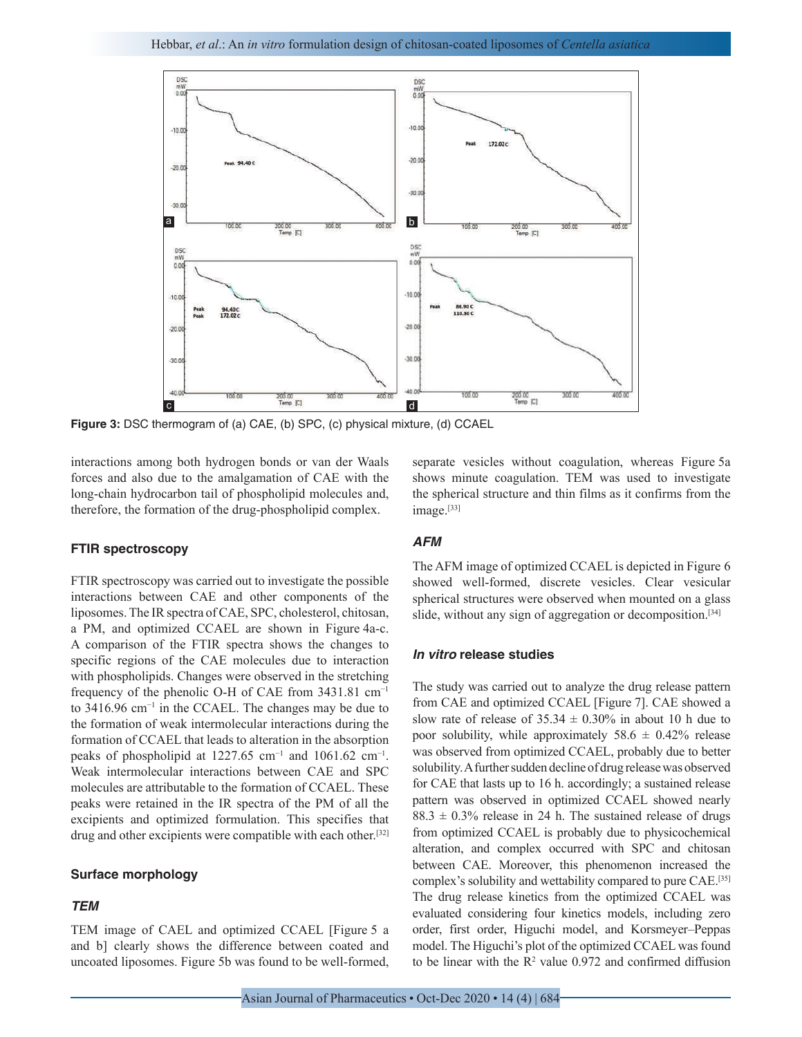

**Figure 3:** DSC thermogram of (a) CAE, (b) SPC, (c) physical mixture, (d) CCAEL

interactions among both hydrogen bonds or van der Waals forces and also due to the amalgamation of CAE with the long-chain hydrocarbon tail of phospholipid molecules and, therefore, the formation of the drug-phospholipid complex.

## **FTIR spectroscopy**

FTIR spectroscopy was carried out to investigate the possible interactions between CAE and other components of the liposomes. The IR spectra of CAE, SPC, cholesterol, chitosan, a PM, and optimized CCAEL are shown in Figure 4a-c. A comparison of the FTIR spectra shows the changes to specific regions of the CAE molecules due to interaction with phospholipids. Changes were observed in the stretching frequency of the phenolic O-H of CAE from 3431.81 cm−1 to 3416.96 cm−1 in the CCAEL. The changes may be due to the formation of weak intermolecular interactions during the formation of CCAEL that leads to alteration in the absorption peaks of phospholipid at 1227.65 cm<sup>-1</sup> and 1061.62 cm<sup>-1</sup>. Weak intermolecular interactions between CAE and SPC molecules are attributable to the formation of CCAEL. These peaks were retained in the IR spectra of the PM of all the excipients and optimized formulation. This specifies that drug and other excipients were compatible with each other.<sup>[32]</sup>

## **Surface morphology**

# *TEM*

TEM image of CAEL and optimized CCAEL [Figure 5 a and b] clearly shows the difference between coated and uncoated liposomes. Figure 5b was found to be well-formed, separate vesicles without coagulation, whereas Figure 5a shows minute coagulation. TEM was used to investigate the spherical structure and thin films as it confirms from the image.<sup>[33]</sup>

#### *AFM*

The AFM image of optimized CCAEL is depicted in Figure 6 showed well-formed, discrete vesicles. Clear vesicular spherical structures were observed when mounted on a glass slide, without any sign of aggregation or decomposition.<sup>[34]</sup>

# *In vitro* **release studies**

The study was carried out to analyze the drug release pattern from CAE and optimized CCAEL [Figure 7]. CAE showed a slow rate of release of  $35.34 \pm 0.30\%$  in about 10 h due to poor solubility, while approximately  $58.6 \pm 0.42\%$  release was observed from optimized CCAEL, probably due to better solubility. A further sudden decline of drug release was observed for CAE that lasts up to 16 h. accordingly; a sustained release pattern was observed in optimized CCAEL showed nearly  $88.3 \pm 0.3\%$  release in 24 h. The sustained release of drugs from optimized CCAEL is probably due to physicochemical alteration, and complex occurred with SPC and chitosan between CAE. Moreover, this phenomenon increased the complex's solubility and wettability compared to pure CAE.[35] The drug release kinetics from the optimized CCAEL was evaluated considering four kinetics models, including zero order, first order, Higuchi model, and Korsmeyer–Peppas model. The Higuchi's plot of the optimized CCAEL was found to be linear with the  $\mathbb{R}^2$  value 0.972 and confirmed diffusion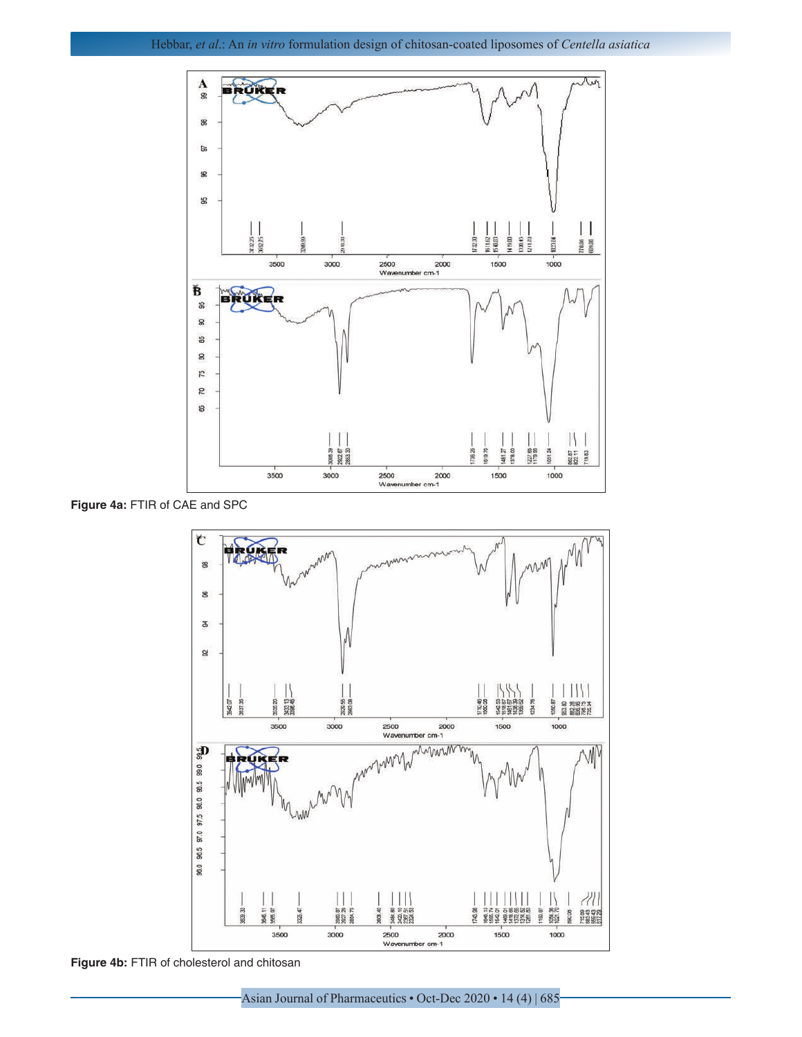

**Figure 4a:** FTIR of CAE and SPC



**Figure 4b:** FTIR of cholesterol and chitosan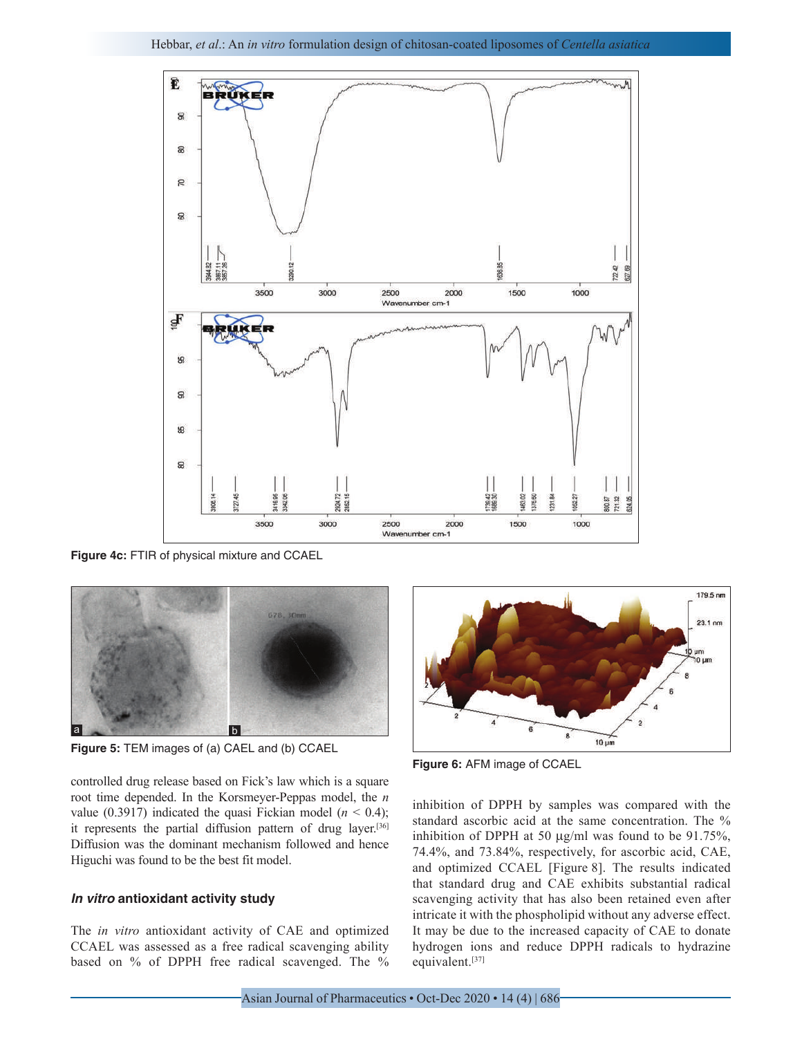

**Figure 4c:** FTIR of physical mixture and CCAEL



**Figure 5:** TEM images of (a) CAEL and (b) CCAEL

controlled drug release based on Fick's law which is a square root time depended. In the Korsmeyer-Peppas model, the *n* value (0.3917) indicated the quasi Fickian model ( $n < 0.4$ ); it represents the partial diffusion pattern of drug layer.<sup>[36]</sup> Diffusion was the dominant mechanism followed and hence Higuchi was found to be the best fit model.

# *In vitro* **antioxidant activity study**

The *in vitro* antioxidant activity of CAE and optimized CCAEL was assessed as a free radical scavenging ability based on % of DPPH free radical scavenged. The %



**Figure 6:** AFM image of CCAEL

inhibition of DPPH by samples was compared with the standard ascorbic acid at the same concentration. The % inhibition of DPPH at 50 µg/ml was found to be 91.75%, 74.4%, and 73.84%, respectively, for ascorbic acid, CAE, and optimized CCAEL [Figure 8]. The results indicated that standard drug and CAE exhibits substantial radical scavenging activity that has also been retained even after intricate it with the phospholipid without any adverse effect. It may be due to the increased capacity of CAE to donate hydrogen ions and reduce DPPH radicals to hydrazine equivalent.[37]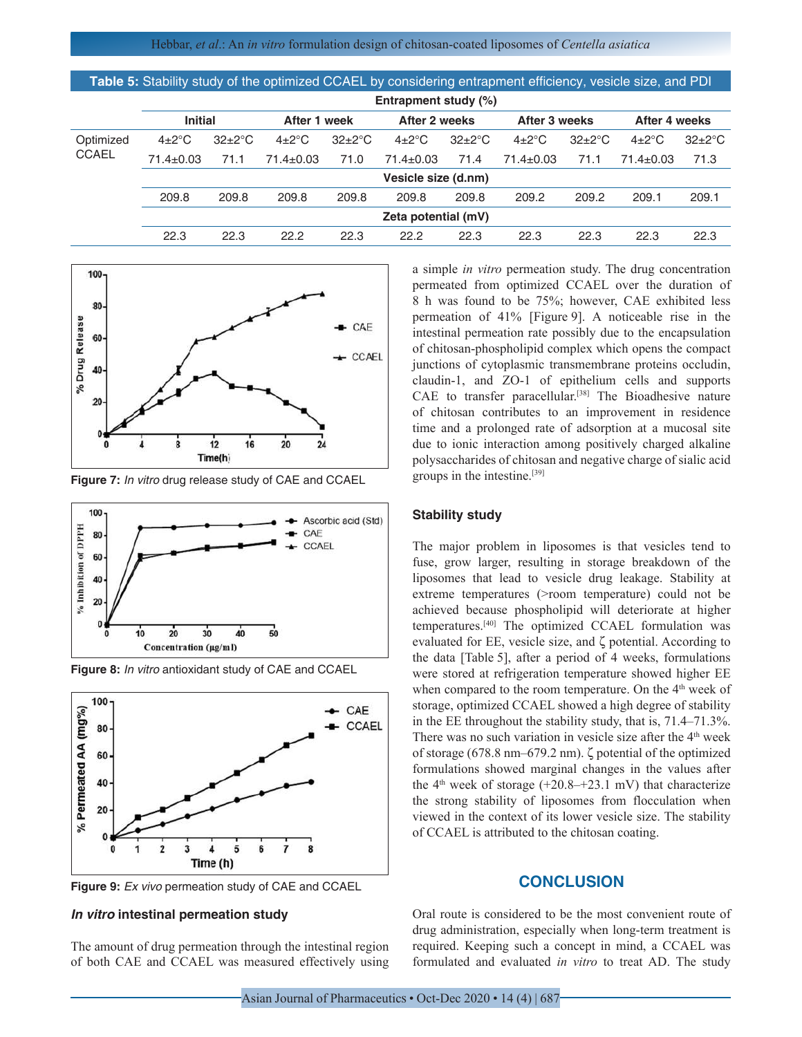| Table 5: Stability study of the optimized CCAEL by considering entrapment efficiency, vesicle size, and PDI |                         |                   |                  |                   |                  |                   |                  |                   |                  |                      |
|-------------------------------------------------------------------------------------------------------------|-------------------------|-------------------|------------------|-------------------|------------------|-------------------|------------------|-------------------|------------------|----------------------|
|                                                                                                             | Entrapment study $(\%)$ |                   |                  |                   |                  |                   |                  |                   |                  |                      |
|                                                                                                             | <b>Initial</b>          |                   | After 1 week     |                   | After 2 weeks    |                   | After 3 weeks    |                   | After 4 weeks    |                      |
| Optimized                                                                                                   | $4\pm2\degree$ C        | $32\pm2\degree$ C | $4\pm2\degree$ C | $32\pm2\degree$ C | $4\pm2\degree$ C | $32\pm2\degree$ C | $4\pm2\degree$ C | $32\pm2\degree$ C | $4\pm2\degree$ C | $32 \pm 2^{\circ}$ C |
| <b>CCAEL</b>                                                                                                | $71.4 \pm 0.03$         | 71.1              | $71.4 \pm 0.03$  | 71.0              | $71.4 \pm 0.03$  | 71.4              | $71.4 \pm 0.03$  | 71.1              | $71.4 \pm 0.03$  | 71.3                 |
|                                                                                                             | Vesicle size (d.nm)     |                   |                  |                   |                  |                   |                  |                   |                  |                      |
|                                                                                                             | 209.8                   | 209.8             | 209.8            | 209.8             | 209.8            | 209.8             | 209.2            | 209.2             | 209.1            | 209.1                |
|                                                                                                             | Zeta potential (mV)     |                   |                  |                   |                  |                   |                  |                   |                  |                      |
|                                                                                                             | 22.3                    | 22.3              | 22.2             | 22.3              | 22.2             | 22.3              | 22.3             | 22.3              | 22.3             | 22.3                 |
|                                                                                                             |                         |                   |                  |                   |                  |                   |                  |                   |                  |                      |



**Figure 7:** *In vitro* drug release study of CAE and CCAEL



**Figure 8:** *In vitro* antioxidant study of CAE and CCAEL



**Figure 9:** *Ex vivo* permeation study of CAE and CCAEL

# *In vitro* **intestinal permeation study**

The amount of drug permeation through the intestinal region of both CAE and CCAEL was measured effectively using a simple *in vitro* permeation study. The drug concentration permeated from optimized CCAEL over the duration of 8 h was found to be 75%; however, CAE exhibited less permeation of 41% [Figure 9]. A noticeable rise in the intestinal permeation rate possibly due to the encapsulation of chitosan-phospholipid complex which opens the compact junctions of cytoplasmic transmembrane proteins occludin, claudin-1, and ZO-1 of epithelium cells and supports CAE to transfer paracellular.[38] The Bioadhesive nature of chitosan contributes to an improvement in residence time and a prolonged rate of adsorption at a mucosal site due to ionic interaction among positively charged alkaline polysaccharides of chitosan and negative charge of sialic acid groups in the intestine.[39]

## **Stability study**

The major problem in liposomes is that vesicles tend to fuse, grow larger, resulting in storage breakdown of the liposomes that lead to vesicle drug leakage. Stability at extreme temperatures (>room temperature) could not be achieved because phospholipid will deteriorate at higher temperatures.[40] The optimized CCAEL formulation was evaluated for EE, vesicle size, and ζ potential. According to the data [Table 5], after a period of 4 weeks, formulations were stored at refrigeration temperature showed higher EE when compared to the room temperature. On the 4<sup>th</sup> week of storage, optimized CCAEL showed a high degree of stability in the EE throughout the stability study, that is, 71.4–71.3%. There was no such variation in vesicle size after the  $4<sup>th</sup>$  week of storage (678.8 nm–679.2 nm). ζ potential of the optimized formulations showed marginal changes in the values after the  $4<sup>th</sup>$  week of storage (+20.8–+23.1 mV) that characterize the strong stability of liposomes from flocculation when viewed in the context of its lower vesicle size. The stability of CCAEL is attributed to the chitosan coating.

# **CONCLUSION**

Oral route is considered to be the most convenient route of drug administration, especially when long-term treatment is required. Keeping such a concept in mind, a CCAEL was formulated and evaluated *in vitro* to treat AD. The study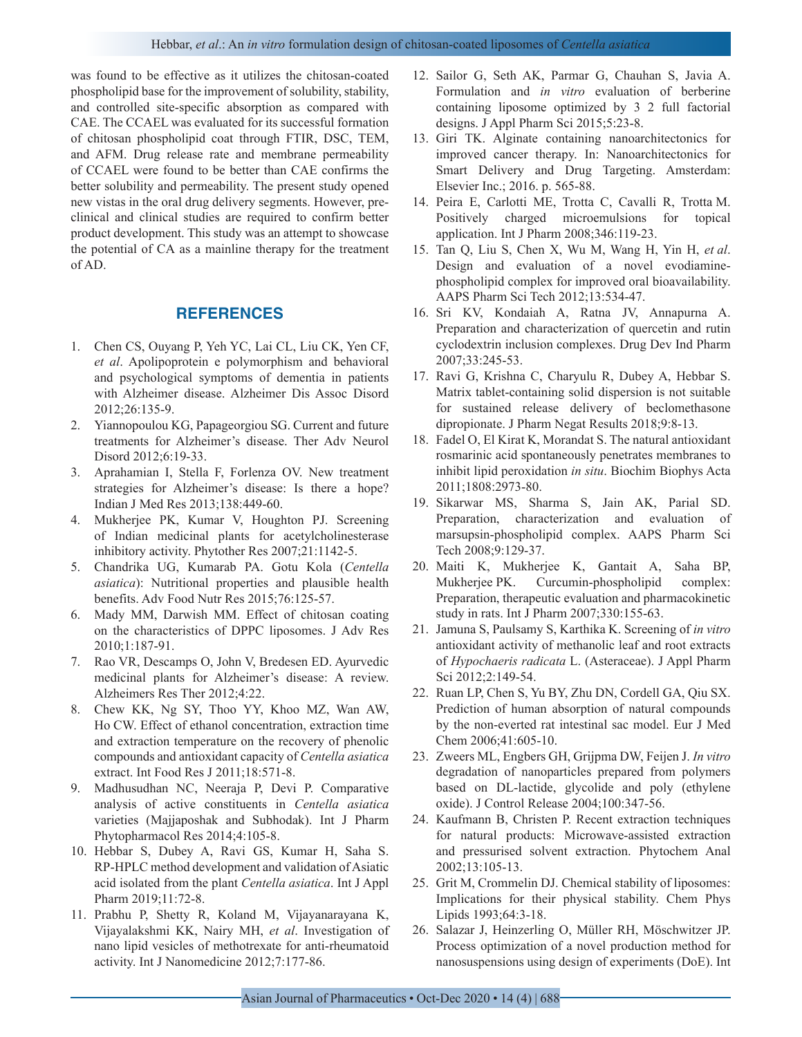was found to be effective as it utilizes the chitosan-coated phospholipid base for the improvement of solubility, stability, and controlled site-specific absorption as compared with CAE. The CCAEL was evaluated for its successful formation of chitosan phospholipid coat through FTIR, DSC, TEM, and AFM. Drug release rate and membrane permeability of CCAEL were found to be better than CAE confirms the better solubility and permeability. The present study opened new vistas in the oral drug delivery segments. However, preclinical and clinical studies are required to confirm better product development. This study was an attempt to showcase the potential of CA as a mainline therapy for the treatment of AD.

# **REFERENCES**

- 1. Chen CS, Ouyang P, Yeh YC, Lai CL, Liu CK, Yen CF, *et al*. Apolipoprotein e polymorphism and behavioral and psychological symptoms of dementia in patients with Alzheimer disease. Alzheimer Dis Assoc Disord 2012;26:135-9.
- 2. Yiannopoulou KG, Papageorgiou SG. Current and future treatments for Alzheimer's disease. Ther Adv Neurol Disord 2012;6:19-33.
- 3. Aprahamian I, Stella F, Forlenza OV. New treatment strategies for Alzheimer's disease: Is there a hope? Indian J Med Res 2013;138:449-60.
- 4. Mukherjee PK, Kumar V, Houghton PJ. Screening of Indian medicinal plants for acetylcholinesterase inhibitory activity. Phytother Res 2007;21:1142-5.
- 5. Chandrika UG, Kumarab PA. Gotu Kola (*Centella asiatica*): Nutritional properties and plausible health benefits. Adv Food Nutr Res 2015;76:125-57.
- 6. Mady MM, Darwish MM. Effect of chitosan coating on the characteristics of DPPC liposomes. J Adv Res 2010;1:187-91.
- 7. Rao VR, Descamps O, John V, Bredesen ED. Ayurvedic medicinal plants for Alzheimer's disease: A review. Alzheimers Res Ther 2012;4:22.
- 8. Chew KK, Ng SY, Thoo YY, Khoo MZ, Wan AW, Ho CW. Effect of ethanol concentration, extraction time and extraction temperature on the recovery of phenolic compounds and antioxidant capacity of *Centella asiatica* extract. Int Food Res J 2011;18:571-8.
- 9. Madhusudhan NC, Neeraja P, Devi P. Comparative analysis of active constituents in *Centella asiatica* varieties (Majjaposhak and Subhodak). Int J Pharm Phytopharmacol Res 2014;4:105-8.
- 10. Hebbar S, Dubey A, Ravi GS, Kumar H, Saha S. RP-HPLC method development and validation of Asiatic acid isolated from the plant *Centella asiatica*. Int J Appl Pharm 2019;11:72-8.
- 11. Prabhu P, Shetty R, Koland M, Vijayanarayana K, Vijayalakshmi KK, Nairy MH, *et al*. Investigation of nano lipid vesicles of methotrexate for anti-rheumatoid activity. Int J Nanomedicine 2012;7:177-86.
- 12. Sailor G, Seth AK, Parmar G, Chauhan S, Javia A. Formulation and *in vitro* evaluation of berberine containing liposome optimized by 3 2 full factorial designs. J Appl Pharm Sci 2015;5:23-8.
- 13. Giri TK. Alginate containing nanoarchitectonics for improved cancer therapy. In: Nanoarchitectonics for Smart Delivery and Drug Targeting. Amsterdam: Elsevier Inc.; 2016. p. 565-88.
- 14. Peira E, Carlotti ME, Trotta C, Cavalli R, Trotta M. Positively charged microemulsions for topical application. Int J Pharm 2008;346:119-23.
- 15. Tan Q, Liu S, Chen X, Wu M, Wang H, Yin H, *et al*. Design and evaluation of a novel evodiaminephospholipid complex for improved oral bioavailability. AAPS Pharm Sci Tech 2012;13:534-47.
- 16. Sri KV, Kondaiah A, Ratna JV, Annapurna A. Preparation and characterization of quercetin and rutin cyclodextrin inclusion complexes. Drug Dev Ind Pharm 2007;33:245-53.
- 17. Ravi G, Krishna C, Charyulu R, Dubey A, Hebbar S. Matrix tablet-containing solid dispersion is not suitable for sustained release delivery of beclomethasone dipropionate. J Pharm Negat Results 2018;9:8-13.
- 18. Fadel O, El Kirat K, Morandat S. The natural antioxidant rosmarinic acid spontaneously penetrates membranes to inhibit lipid peroxidation *in situ*. Biochim Biophys Acta 2011;1808:2973-80.
- 19. Sikarwar MS, Sharma S, Jain AK, Parial SD. Preparation, characterization and evaluation of marsupsin-phospholipid complex. AAPS Pharm Sci Tech 2008;9:129-37.
- 20. Maiti K, Mukherjee K, Gantait A, Saha BP, Mukherjee PK. Curcumin-phospholipid complex: Preparation, therapeutic evaluation and pharmacokinetic study in rats. Int J Pharm 2007;330:155-63.
- 21. Jamuna S, Paulsamy S, Karthika K. Screening of *in vitro* antioxidant activity of methanolic leaf and root extracts of *Hypochaeris radicata* L. (Asteraceae). J Appl Pharm Sci 2012;2:149-54.
- 22. Ruan LP, Chen S, Yu BY, Zhu DN, Cordell GA, Qiu SX. Prediction of human absorption of natural compounds by the non-everted rat intestinal sac model. Eur J Med Chem 2006;41:605-10.
- 23. Zweers ML, Engbers GH, Grijpma DW, Feijen J. *In vitro* degradation of nanoparticles prepared from polymers based on DL-lactide, glycolide and poly (ethylene oxide). J Control Release 2004;100:347-56.
- 24. Kaufmann B, Christen P. Recent extraction techniques for natural products: Microwave-assisted extraction and pressurised solvent extraction. Phytochem Anal 2002;13:105-13.
- 25. Grit M, Crommelin DJ. Chemical stability of liposomes: Implications for their physical stability. Chem Phys Lipids 1993;64:3-18.
- 26. Salazar J, Heinzerling O, Müller RH, Möschwitzer JP. Process optimization of a novel production method for nanosuspensions using design of experiments (DoE). Int